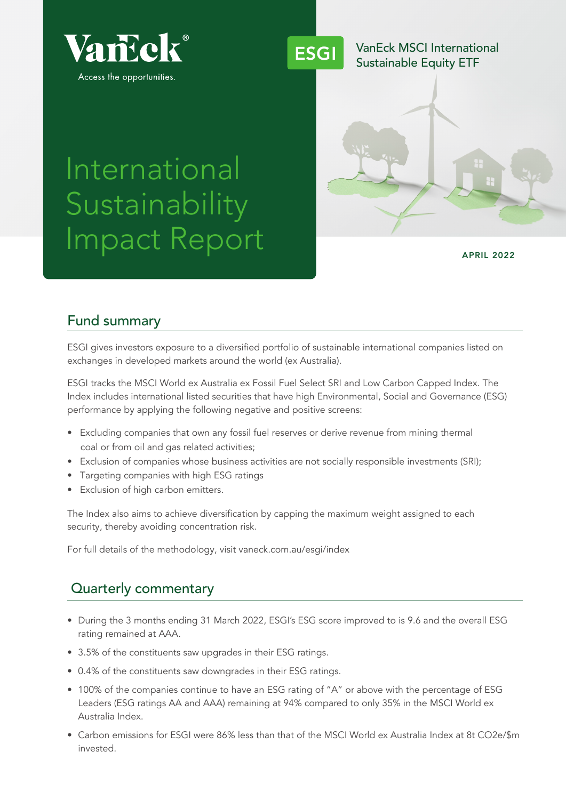



APRIL 2022

# International **Sustainability** Impact Report

## Fund summary

ESGI gives investors exposure to a diversified portfolio of sustainable international companies listed on exchanges in developed markets around the world (ex Australia).

ESGI tracks the MSCI World ex Australia ex Fossil Fuel Select SRI and Low Carbon Capped Index. The Index includes international listed securities that have high Environmental, Social and Governance (ESG) performance by applying the following negative and positive screens:

- Excluding companies that own any fossil fuel reserves or derive revenue from mining thermal coal or from oil and gas related activities;
- Exclusion of companies whose business activities are not socially responsible investments (SRI);
- Targeting companies with high ESG ratings
- Exclusion of high carbon emitters.

The Index also aims to achieve diversification by capping the maximum weight assigned to each security, thereby avoiding concentration risk.

For full details of the methodology, visit vaneck.com.au/esgi/index

## Quarterly commentary

- During the 3 months ending 31 March 2022, ESGI's ESG score improved to is 9.6 and the overall ESG rating remained at AAA.
- 3.5% of the constituents saw upgrades in their ESG ratings.
- 0.4% of the constituents saw downgrades in their ESG ratings.
- 100% of the companies continue to have an ESG rating of "A" or above with the percentage of ESG Leaders (ESG ratings AA and AAA) remaining at 94% compared to only 35% in the MSCI World ex Australia Index.
- Carbon emissions for ESGI were 86% less than that of the MSCI World ex Australia Index at 8t CO2e/\$m invested.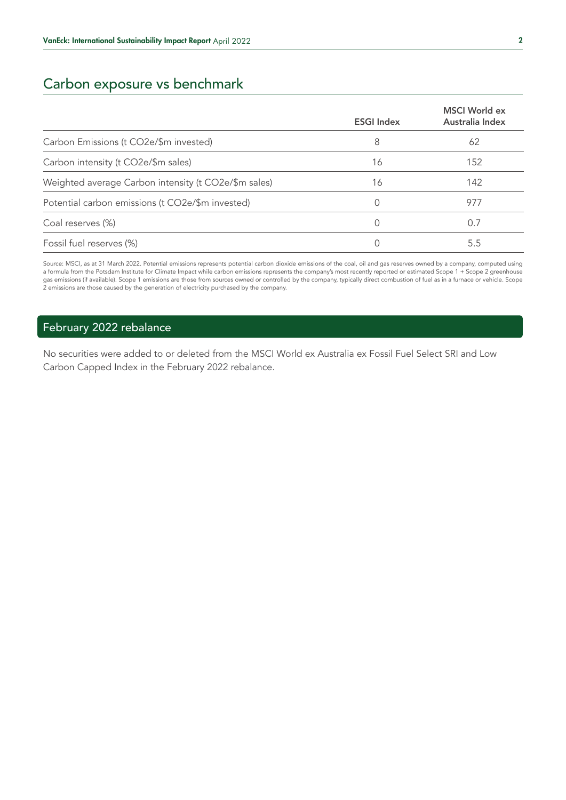# Carbon exposure vs benchmark

|                                                      | <b>ESGI Index</b> | <b>MSCI</b> World ex<br>Australia Index |
|------------------------------------------------------|-------------------|-----------------------------------------|
| Carbon Emissions (t CO2e/\$m invested)               | 8                 | 62                                      |
| Carbon intensity (t CO2e/\$m sales)                  | 16                | 152                                     |
| Weighted average Carbon intensity (t CO2e/\$m sales) | 16                | 142                                     |
| Potential carbon emissions (t CO2e/\$m invested)     |                   | 977                                     |
| Coal reserves (%)                                    |                   | 0.7                                     |
| Fossil fuel reserves (%)                             |                   | 5.5                                     |

Source: MSCI, as at 31 March 2022. Potential emissions represents potential carbon dioxide emissions of the coal, oil and gas reserves owned by a company, computed using a formula from the Potsdam Institute for Climate Impact while carbon emissions represents the company's most recently reported or estimated Scope 1 + Scope 2 greenhouse gas emissions (if available). Scope 1 emissions are those from sources owned or controlled by the company, typically direct combustion of fuel as in a furnace or vehicle. Scope 2 emissions are those caused by the generation of electricity purchased by the company.

## February 2022 rebalance

No securities were added to or deleted from the MSCI World ex Australia ex Fossil Fuel Select SRI and Low Carbon Capped Index in the February 2022 rebalance.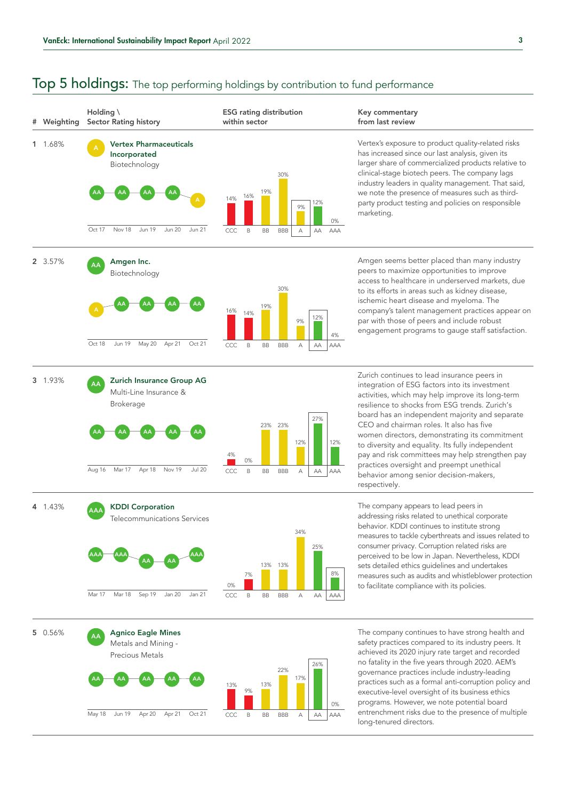

long-tenured directors.

## **Top 5 holdings:** The top performing holdings by contribution to fund performance